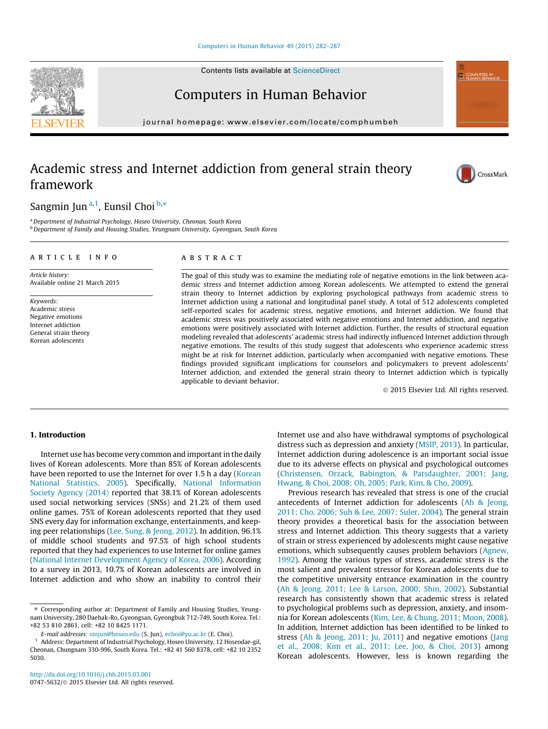Contents lists available at [ScienceDirect](http://www.sciencedirect.com/science/journal/07475632)

# Computers in Human Behavior

journal homepage: [www.elsevier.com/locate/comphumbeh](http://www.elsevier.com/locate/comphumbeh)

# Academic stress and Internet addiction from general strain theory framework

Sangmin Jun<sup>a,1</sup>, Eunsil Choi <sup>b,</sup>\*

<sup>a</sup>Department of Industrial Psychology, Hoseo University, Cheonan, South Korea <sup>b</sup> Department of Family and Housing Studies, Yeungnam University, Gyeongsan, South Korea

#### article info

Article history: Available online 21 March 2015

Keywords: Academic stress Negative emotions Internet addiction General strain theory Korean adolescents

## ABSTRACT

The goal of this study was to examine the mediating role of negative emotions in the link between academic stress and Internet addiction among Korean adolescents. We attempted to extend the general strain theory to Internet addiction by exploring psychological pathways from academic stress to Internet addiction using a national and longitudinal panel study. A total of 512 adolescents completed self-reported scales for academic stress, negative emotions, and Internet addiction. We found that academic stress was positively associated with negative emotions and Internet addiction, and negative emotions were positively associated with Internet addiction. Further, the results of structural equation modeling revealed that adolescents' academic stress had indirectly influenced Internet addiction through negative emotions. The results of this study suggest that adolescents who experience academic stress might be at risk for Internet addiction, particularly when accompanied with negative emotions. These findings provided significant implications for counselors and policymakers to prevent adolescents' Internet addiction, and extended the general strain theory to Internet addiction which is typically applicable to deviant behavior.

- 2015 Elsevier Ltd. All rights reserved.

# 1. Introduction

Internet use has become very common and important in the daily lives of Korean adolescents. More than 85% of Korean adolescents have been reported to use the Internet for over 1.5 h a day [\(Korean](#page--1-0) [National Statistics, 2005\)](#page--1-0). Specifically, [National Information](#page--1-0) [Society Agency \(2014\)](#page--1-0) reported that 38.1% of Korean adolescents used social networking services (SNSs) and 21.2% of them used online games. 75% of Korean adolescents reported that they used SNS every day for information exchange, entertainments, and keeping peer relationships ([Lee, Sung, & Jeong, 2012](#page--1-0)). In addition, 96.1% of middle school students and 97.5% of high school students reported that they had experiences to use Internet for online games ([National Internet Development Agency of Korea, 2006\)](#page--1-0). According to a survey in 2013, 10.7% of Korean adolescents are involved in Internet addiction and who show an inability to control their Internet use and also have withdrawal symptoms of psychological distress such as depression and anxiety [\(MSIP, 2013](#page--1-0)). In particular, Internet addiction during adolescence is an important social issue due to its adverse effects on physical and psychological outcomes ([Christensen, Orzack, Babington, & Patsdaughter, 2001; Jang,](#page--1-0) [Hwang, & Choi, 2008; Oh, 2005; Park, Kim, & Cho, 2009](#page--1-0)).

Previous research has revealed that stress is one of the crucial antecedents of Internet addiction for adolescents [\(Ah & Jeong,](#page--1-0) [2011; Cho, 2006; Suh & Lee, 2007; Suler, 2004](#page--1-0)). The general strain theory provides a theoretical basis for the association between stress and Internet addiction. This theory suggests that a variety of strain or stress experienced by adolescents might cause negative emotions, which subsequently causes problem behaviors ([Agnew,](#page--1-0) [1992\)](#page--1-0). Among the various types of stress, academic stress is the most salient and prevalent stressor for Korean adolescents due to the competitive university entrance examination in the country ([Ah & Jeong, 2011; Lee & Larson, 2000; Shin, 2002](#page--1-0)). Substantial research has consistently shown that academic stress is related to psychological problems such as depression, anxiety, and insomnia for Korean adolescents ([Kim, Lee, & Chung, 2011; Moon, 2008\)](#page--1-0). In addition, Internet addiction has been identified to be linked to stress ([Ah & Jeong, 2011; Ju, 2011\)](#page--1-0) and negative emotions ([Jang](#page--1-0) [et al., 2008; Kim et al., 2011; Lee, Joo, & Choi, 2013](#page--1-0)) among Korean adolescents. However, less is known regarding the





**ED COMPUTERS IN** 

<sup>⇑</sup> Corresponding author at: Department of Family and Housing Studies, Yeungnam University, 280 Daehak-Ro, Gyeongsan, Gyeongbuk 712-749, South Korea. Tel.: +82 53 810 2861, cell: +82 10 8425 1171.

E-mail addresses: [smjun@hoseo.edu](mailto:smjun@hoseo.edu) (S. Jun), [echoi@yu.ac.kr](mailto:echoi@yu.ac.kr) (E. Choi).

<sup>1</sup> Address: Department of Industrial Psychology, Hoseo University, 12 Hoseodae-gil, Cheonan, Chungnam 330-996, South Korea. Tel.: +82 41 560 8378, cell: +82 10 2352 5030.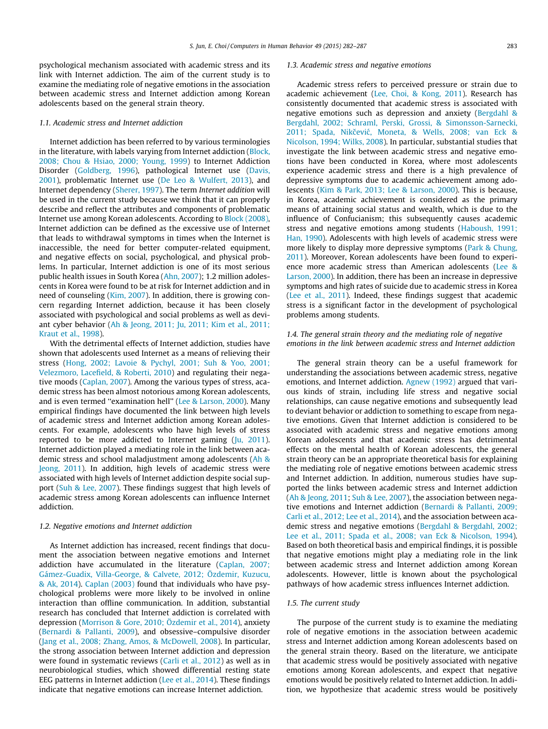psychological mechanism associated with academic stress and its link with Internet addiction. The aim of the current study is to examine the mediating role of negative emotions in the association between academic stress and Internet addiction among Korean adolescents based on the general strain theory.

## 1.1. Academic stress and Internet addiction

Internet addiction has been referred to by various terminologies in the literature, with labels varying from Internet addiction [\(Block,](#page--1-0) [2008; Chou & Hsiao, 2000; Young, 1999\)](#page--1-0) to Internet Addiction Disorder ([Goldberg, 1996\)](#page--1-0), pathological Internet use [\(Davis,](#page--1-0) [2001](#page--1-0)), problematic Internet use ([De Leo & Wulfert, 2013](#page--1-0)), and Internet dependency ([Sherer, 1997](#page--1-0)). The term Internet addition will be used in the current study because we think that it can properly describe and reflect the attributes and components of problematic Internet use among Korean adolescents. According to [Block \(2008\),](#page--1-0) Internet addiction can be defined as the excessive use of Internet that leads to withdrawal symptoms in times when the Internet is inaccessible, the need for better computer-related equipment, and negative effects on social, psychological, and physical problems. In particular, Internet addiction is one of its most serious public health issues in South Korea [\(Ahn, 2007\)](#page--1-0); 1.2 million adolescents in Korea were found to be at risk for Internet addiction and in need of counseling ([Kim, 2007](#page--1-0)). In addition, there is growing concern regarding Internet addiction, because it has been closely associated with psychological and social problems as well as deviant cyber behavior [\(Ah & Jeong, 2011; Ju, 2011; Kim et al., 2011;](#page--1-0) [Kraut et al., 1998](#page--1-0)).

With the detrimental effects of Internet addiction, studies have shown that adolescents used Internet as a means of relieving their stress ([Hong, 2002; Lavoie & Pychyl, 2001; Suh & Yoo, 2001;](#page--1-0) [Velezmoro, Lacefield, & Roberti, 2010](#page--1-0)) and regulating their negative moods ([Caplan, 2007\)](#page--1-0). Among the various types of stress, academic stress has been almost notorious among Korean adolescents, and is even termed ''examination hell'' [\(Lee & Larson, 2000\)](#page--1-0). Many empirical findings have documented the link between high levels of academic stress and Internet addiction among Korean adolescents. For example, adolescents who have high levels of stress reported to be more addicted to Internet gaming [\(Ju, 2011\)](#page--1-0). Internet addiction played a mediating role in the link between academic stress and school maladjustment among adolescents ([Ah &](#page--1-0) [Jeong, 2011\)](#page--1-0). In addition, high levels of academic stress were associated with high levels of Internet addiction despite social support [\(Suh & Lee, 2007](#page--1-0)). These findings suggest that high levels of academic stress among Korean adolescents can influence Internet addiction.

#### 1.2. Negative emotions and Internet addiction

As Internet addiction has increased, recent findings that document the association between negative emotions and Internet addiction have accumulated in the literature [\(Caplan, 2007;](#page--1-0) [Gámez-Guadix, Villa-George, & Calvete, 2012; Özdemir, Kuzucu,](#page--1-0) [& Ak, 2014\)](#page--1-0). [Caplan \(2003\)](#page--1-0) found that individuals who have psychological problems were more likely to be involved in online interaction than offline communication. In addition, substantial research has concluded that Internet addiction is correlated with depression [\(Morrison & Gore, 2010; Özdemir et al., 2014](#page--1-0)), anxiety ([Bernardi & Pallanti, 2009](#page--1-0)), and obsessive–compulsive disorder ([Jang et al., 2008; Zhang, Amos, & McDowell, 2008\)](#page--1-0). In particular, the strong association between Internet addiction and depression were found in systematic reviews [\(Carli et al., 2012](#page--1-0)) as well as in neurobiological studies, which showed differential resting state EEG patterns in Internet addiction [\(Lee et al., 2014](#page--1-0)). These findings indicate that negative emotions can increase Internet addiction.

#### 1.3. Academic stress and negative emotions

Academic stress refers to perceived pressure or strain due to academic achievement ([Lee, Choi, & Kong, 2011\)](#page--1-0). Research has consistently documented that academic stress is associated with negative emotions such as depression and anxiety [\(Bergdahl &](#page--1-0) [Bergdahl, 2002; Schraml, Perski, Grossi, & Simonsson-Sarnecki,](#page--1-0) 2011; Spada, Nikčević, Moneta, & Wells, 2008; van Eck & [Nicolson, 1994; Wilks, 2008\)](#page--1-0). In particular, substantial studies that investigate the link between academic stress and negative emotions have been conducted in Korea, where most adolescents experience academic stress and there is a high prevalence of depressive symptoms due to academic achievement among adolescents ([Kim & Park, 2013; Lee & Larson, 2000\)](#page--1-0). This is because, in Korea, academic achievement is considered as the primary means of attaining social status and wealth, which is due to the influence of Confucianism; this subsequently causes academic stress and negative emotions among students [\(Haboush, 1991;](#page--1-0) [Han, 1990\)](#page--1-0). Adolescents with high levels of academic stress were more likely to display more depressive symptoms ([Park & Chung,](#page--1-0) [2011](#page--1-0)). Moreover, Korean adolescents have been found to experience more academic stress than American adolescents [\(Lee &](#page--1-0) [Larson, 2000](#page--1-0)). In addition, there has been an increase in depressive symptoms and high rates of suicide due to academic stress in Korea ([Lee et al., 2011](#page--1-0)). Indeed, these findings suggest that academic stress is a significant factor in the development of psychological problems among students.

## 1.4. The general strain theory and the mediating role of negative emotions in the link between academic stress and Internet addiction

The general strain theory can be a useful framework for understanding the associations between academic stress, negative emotions, and Internet addiction. [Agnew \(1992\)](#page--1-0) argued that various kinds of strain, including life stress and negative social relationships, can cause negative emotions and subsequently lead to deviant behavior or addiction to something to escape from negative emotions. Given that Internet addiction is considered to be associated with academic stress and negative emotions among Korean adolescents and that academic stress has detrimental effects on the mental health of Korean adolescents, the general strain theory can be an appropriate theoretical basis for explaining the mediating role of negative emotions between academic stress and Internet addiction. In addition, numerous studies have supported the links between academic stress and Internet addiction ([Ah & Jeong, 2011](#page--1-0); [Suh & Lee, 2007](#page--1-0)), the association between negative emotions and Internet addiction ([Bernardi & Pallanti, 2009;](#page--1-0) [Carli et al., 2012; Lee et al., 2014\)](#page--1-0), and the association between academic stress and negative emotions ([Bergdahl & Bergdahl, 2002;](#page--1-0) [Lee et al., 2011; Spada et al., 2008; van Eck & Nicolson, 1994\)](#page--1-0). Based on both theoretical basis and empirical findings, it is possible that negative emotions might play a mediating role in the link between academic stress and Internet addiction among Korean adolescents. However, little is known about the psychological pathways of how academic stress influences Internet addiction.

#### 1.5. The current study

The purpose of the current study is to examine the mediating role of negative emotions in the association between academic stress and Internet addiction among Korean adolescents based on the general strain theory. Based on the literature, we anticipate that academic stress would be positively associated with negative emotions among Korean adolescents, and expect that negative emotions would be positively related to Internet addiction. In addition, we hypothesize that academic stress would be positively